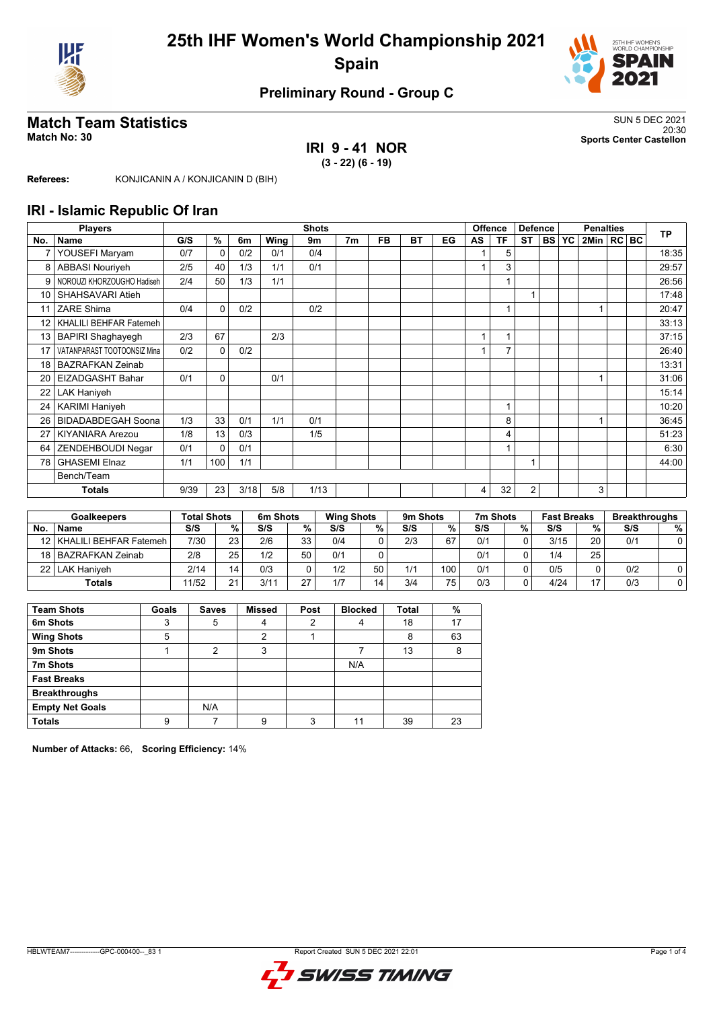



## **Preliminary Round - Group C**

## **Match Team Statistics** SUN 5 DEC 2021

#### **IRI 9 - 41 NOR (3 - 22) (6 - 19)**

20:30 **Match No: 30 Sports Center Castellon**

**Referees:** KONJICANIN A / KONJICANIN D (BIH)

#### **IRI - Islamic Republic Of Iran**

|                 | <b>Players</b>              |      |          |      |      | <b>Shots</b> |                |           |           |    |    | <b>Offence</b> | <b>Defence</b> |           | <b>Penalties</b> |                  |  |  | <b>TP</b> |
|-----------------|-----------------------------|------|----------|------|------|--------------|----------------|-----------|-----------|----|----|----------------|----------------|-----------|------------------|------------------|--|--|-----------|
| No.             | <b>Name</b>                 | G/S  | %        | 6m   | Wing | 9m           | 7 <sub>m</sub> | <b>FB</b> | <b>BT</b> | EG | AS | <b>TF</b>      | <b>ST</b>      | <b>BS</b> | <b>YC</b>        | $2$ Min $ RC BC$ |  |  |           |
| 7               | YOUSEFI Maryam              | 0/7  | $\Omega$ | 0/2  | 0/1  | 0/4          |                |           |           |    |    | 5              |                |           |                  |                  |  |  | 18:35     |
| 8               | <b>ABBASI Nouriyeh</b>      | 2/5  | 40       | 1/3  | 1/1  | 0/1          |                |           |           |    |    | 3              |                |           |                  |                  |  |  | 29:57     |
| 9               | NOROUZI KHORZOUGHO Hadiseh  | 2/4  | 50       | 1/3  | 1/1  |              |                |           |           |    |    |                |                |           |                  |                  |  |  | 26:56     |
| 10              | SHAHSAVARI Atieh            |      |          |      |      |              |                |           |           |    |    |                | 1              |           |                  |                  |  |  | 17:48     |
| 11              | <b>ZARE Shima</b>           | 0/4  | $\Omega$ | 0/2  |      | 0/2          |                |           |           |    |    |                |                |           |                  |                  |  |  | 20:47     |
| 12 <sup>2</sup> | KHALILI BEHFAR Fatemeh      |      |          |      |      |              |                |           |           |    |    |                |                |           |                  |                  |  |  | 33:13     |
| 13 <sup>1</sup> | <b>BAPIRI Shaghayegh</b>    | 2/3  | 67       |      | 2/3  |              |                |           |           |    |    |                |                |           |                  |                  |  |  | 37:15     |
| 17              | VATANPARAST TOOTOONSIZ Mina | 0/2  | $\Omega$ | 0/2  |      |              |                |           |           |    |    | ⇁              |                |           |                  |                  |  |  | 26:40     |
| 18              | <b>BAZRAFKAN Zeinab</b>     |      |          |      |      |              |                |           |           |    |    |                |                |           |                  |                  |  |  | 13:31     |
| 20              | EIZADGASHT Bahar            | 0/1  | $\Omega$ |      | 0/1  |              |                |           |           |    |    |                |                |           |                  |                  |  |  | 31:06     |
| 22              | <b>LAK Haniyeh</b>          |      |          |      |      |              |                |           |           |    |    |                |                |           |                  |                  |  |  | 15:14     |
| 24              | <b>KARIMI Haniyeh</b>       |      |          |      |      |              |                |           |           |    |    |                |                |           |                  |                  |  |  | 10:20     |
| 26              | <b>BIDADABDEGAH Soona</b>   | 1/3  | 33       | 0/1  | 1/1  | 0/1          |                |           |           |    |    | 8              |                |           |                  |                  |  |  | 36:45     |
| 27              | <b>KIYANIARA Arezou</b>     | 1/8  | 13       | 0/3  |      | 1/5          |                |           |           |    |    | 4              |                |           |                  |                  |  |  | 51:23     |
| 64              | ZENDEHBOUDI Negar           | 0/1  | $\Omega$ | 0/1  |      |              |                |           |           |    |    |                |                |           |                  |                  |  |  | 6:30      |
| 78              | <b>GHASEMI Elnaz</b>        | 1/1  | 100      | 1/1  |      |              |                |           |           |    |    |                | 1              |           |                  |                  |  |  | 44:00     |
|                 | Bench/Team                  |      |          |      |      |              |                |           |           |    |    |                |                |           |                  |                  |  |  |           |
|                 | <b>Totals</b>               | 9/39 | 23       | 3/18 | 5/8  | 1/13         |                |           |           |    | 4  | 32             | $\overline{2}$ |           |                  | 3                |  |  |           |

|    | <b>Goalkeepers</b>          | Total Shots |                 | 6m Shots |    | <b>Wing Shots</b> |    | 9m Shots |     | 7m Shots |   | <b>Fast Breaks</b> |    | <b>Breakthroughs</b> |   |
|----|-----------------------------|-------------|-----------------|----------|----|-------------------|----|----------|-----|----------|---|--------------------|----|----------------------|---|
| No | <b>Name</b>                 | S/S         | $\%$            | S/S      | %  | S/S               | %  | S/S      | %   | S/S      | % | S/S                | %  | S/S                  | % |
|    | 12   KHALILI BEHFAR Fatemeh | 7/30        | 23              | 2/6      | 33 | 0/4               |    | 2/3      | 67  | 0/1      |   | 3/15               | 20 | 0/1                  |   |
|    | 18 BAZRAFKAN Zeinab         | 2/8         | 25 <sub>1</sub> | 1/2      | 50 | 0/1               |    |          |     | 0/1      |   | 1/4                | 25 |                      |   |
|    | 22   LAK Haniveh            | 2/14        | 14              | 0/3      |    | 1/2               | 50 | 1/1      | 100 | 0/1      |   | 0/5                |    | 0/2                  |   |
|    | <b>Totals</b>               | 11/52       | 21              | 3/11     | 27 | 1/7               | 14 | 3/4      | 75  | 0/3      |   | 4/24               | 47 | 0/3                  |   |

| <b>Team Shots</b>      | Goals | <b>Saves</b>   | <b>Missed</b> | Post | <b>Blocked</b> | <b>Total</b> | %  |
|------------------------|-------|----------------|---------------|------|----------------|--------------|----|
| 6m Shots               | 3     | 5              | 4             | 2    |                | 18           | 17 |
| <b>Wing Shots</b>      | 5     |                | 2             |      |                | 8            | 63 |
| 9m Shots               |       | $\overline{2}$ | 3             |      |                | 13           | 8  |
| 7m Shots               |       |                |               |      | N/A            |              |    |
| <b>Fast Breaks</b>     |       |                |               |      |                |              |    |
| <b>Breakthroughs</b>   |       |                |               |      |                |              |    |
| <b>Empty Net Goals</b> |       | N/A            |               |      |                |              |    |
| <b>Totals</b>          | 9     |                | 9             | 3    |                | 39           | 23 |

**Number of Attacks:** 66, **Scoring Efficiency:** 14%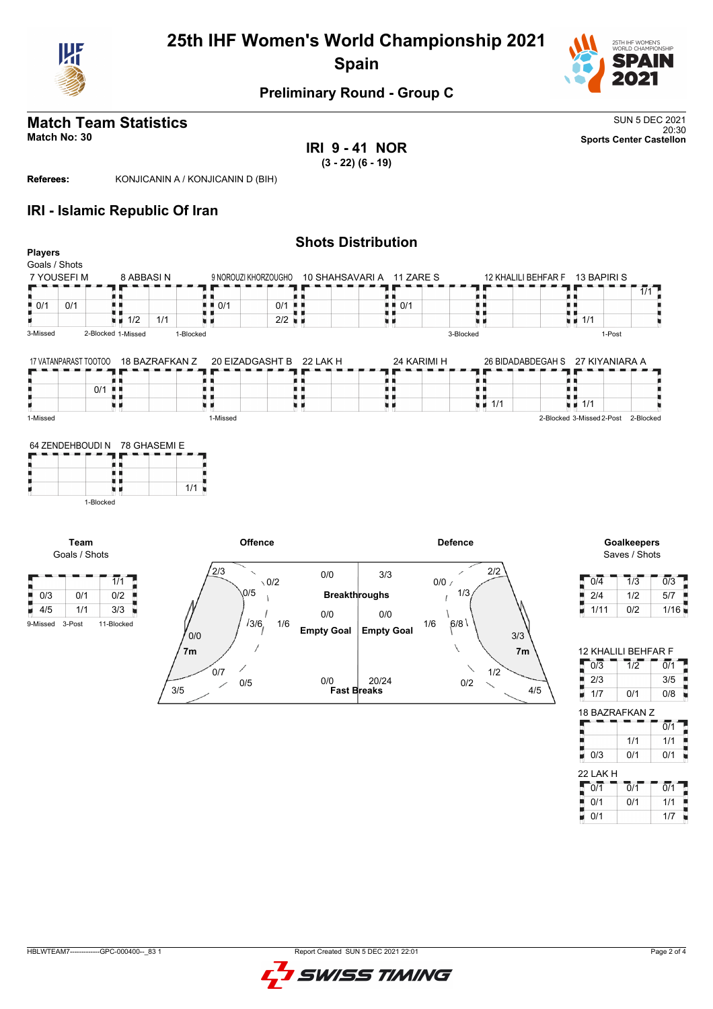

# **25th IHF Women's World Championship 2021 Spain**



## **Preliminary Round - Group C**

#### **Match Team Statistics** SUN 5 DEC 2021 20:30 **Match No: 30 Sports Center Castellon**

**IRI 9 - 41 NOR**

**(3 - 22) (6 - 19)**

**Referees:** KONJICANIN A / KONJICANIN D (BIH)

### **IRI - Islamic Republic Of Iran**

| <b>Players</b>                 |                       |                    |                |                                         |                                        | <b>Shots Distribution</b>                      |                                   |                                              |                                                 |
|--------------------------------|-----------------------|--------------------|----------------|-----------------------------------------|----------------------------------------|------------------------------------------------|-----------------------------------|----------------------------------------------|-------------------------------------------------|
| Goals / Shots                  |                       |                    |                |                                         |                                        |                                                |                                   |                                              |                                                 |
|                                | 7 YOUSEFI M           |                    | 8 ABBASIN      |                                         |                                        | 9 NOROUZI KHORZOUGHO 10 SHAHSAVARI A 11 ZARE S |                                   | 12 KHALILI BEHFAR F 13 BAPIRI S              |                                                 |
|                                |                       |                    |                |                                         |                                        |                                                |                                   |                                              | 1/1                                             |
| $\blacksquare$ 0/1             | 0/1                   |                    |                | п.<br>$\blacksquare$ $\blacksquare$ 0/1 | $0/1$                                  | H H<br>0/1                                     | . .                               | . .                                          |                                                 |
|                                |                       |                    |                | . .                                     |                                        | . .                                            | U U                               | U U<br>$\overline{u}$ $\overline{u}$ 1/1     |                                                 |
|                                |                       | $\blacksquare$ 1/2 | 1/1            | u p                                     | $2/2$ $\blacksquare$                   | 原则                                             | u u                               |                                              |                                                 |
| 3-Missed                       |                       | 2-Blocked 1-Missed |                | 1-Blocked                               |                                        |                                                | 3-Blocked                         | 1-Post                                       |                                                 |
|                                |                       |                    | 18 BAZRAFKAN Z |                                         | 20 EIZADGASHT B                        | 24 KARIMI H                                    |                                   |                                              |                                                 |
|                                | 17 VATANPARAST TOOTOO |                    |                |                                         | 22 LAK H                               |                                                |                                   | 26 BIDADABDEGAH S 27 KIYANIARA A             |                                                 |
|                                |                       | $0/1$              |                | н н                                     | . .                                    | ш.<br>н н                                      | . .<br>н н                        | H H                                          |                                                 |
|                                |                       | . .                |                |                                         | . .                                    | . .                                            | . .                               | . .                                          |                                                 |
|                                |                       | u p                |                | u p                                     | 电话                                     | 电话                                             | $\blacksquare$ $\blacksquare$ 1/1 | $\blacksquare$ $\blacksquare$ 1/1            |                                                 |
| 1-Missed                       |                       |                    |                | 1-Missed                                |                                        |                                                |                                   | 2-Blocked 3-Missed 2-Post                    | 2-Blocked                                       |
|                                |                       |                    |                |                                         |                                        |                                                |                                   |                                              |                                                 |
| н                              | Team<br>Goals / Shots | 1-Blocked          |                |                                         | <b>Offence</b>                         |                                                | <b>Defence</b>                    |                                              | <b>Goalkeepers</b><br>Saves / Shots             |
| m.                             |                       | $\overline{1/1}$   | F              | 2/3                                     | $\checkmark$<br>0/0<br>$\setminus 0/2$ | 3/3                                            | 2/2<br>∕<br>0/0/                  | $\overline{0/4}$<br>$\overline{\phantom{a}}$ | $\overline{0/3}$<br>$\overline{1}/\overline{3}$ |
| $\frac{1}{2}$ 0/3              | 0/1                   | 0/2                | г              | 0/5                                     |                                        | <b>Breakthroughs</b>                           | 1/3                               | 2/4<br>ш                                     | 1/2<br>5/7                                      |
|                                | 1/1                   | 3/3                |                |                                         | 0/0                                    | 0/0                                            |                                   | 1/11                                         | 0/2<br>1/16                                     |
|                                | 3-Post                | 11-Blocked         |                |                                         | 13/6<br>1/6                            | 1/6                                            | 6/8                               |                                              |                                                 |
|                                |                       |                    |                | $\frac{0}{0}$                           | <b>Empty Goal</b>                      | <b>Empty Goal</b>                              | 3/3                               |                                              |                                                 |
|                                |                       |                    |                | 7 <sub>m</sub>                          |                                        |                                                | ∖<br>7m                           |                                              | 12 KHALILI BEHFAR F                             |
|                                |                       |                    |                | ∕                                       |                                        |                                                |                                   | 5<br>$\overline{0/3}$                        | $\overline{0/1}$<br>$\overline{1}/\overline{2}$ |
|                                |                       |                    |                | 0/7<br>0/5                              | 0/0                                    | 20/24                                          | 1/2<br>0/2<br>╲                   | ۰<br>2/3                                     | 3/5                                             |
|                                |                       |                    |                | 3/5                                     |                                        | <b>Fast Breaks</b>                             |                                   | 4/5<br>1/7<br>н                              | 0/1<br>$0/8$ $\blacksquare$                     |
|                                |                       |                    |                |                                         |                                        |                                                |                                   |                                              | 18 BAZRAFKAN Z                                  |
|                                |                       |                    |                |                                         |                                        |                                                |                                   |                                              | $\overline{0/1}$                                |
| $\blacksquare$ 4/5<br>9-Missed |                       |                    |                |                                         |                                        |                                                |                                   |                                              | 1/1<br>1/1                                      |

HBLWTEAM7-------------GPC-000400--\_83 1 Report Created SUN 5 DEC 2021 22:01

j F

22 LAK H

0/1 0/1 0/1 0/1 0/1 1/1  $0/1$  1/7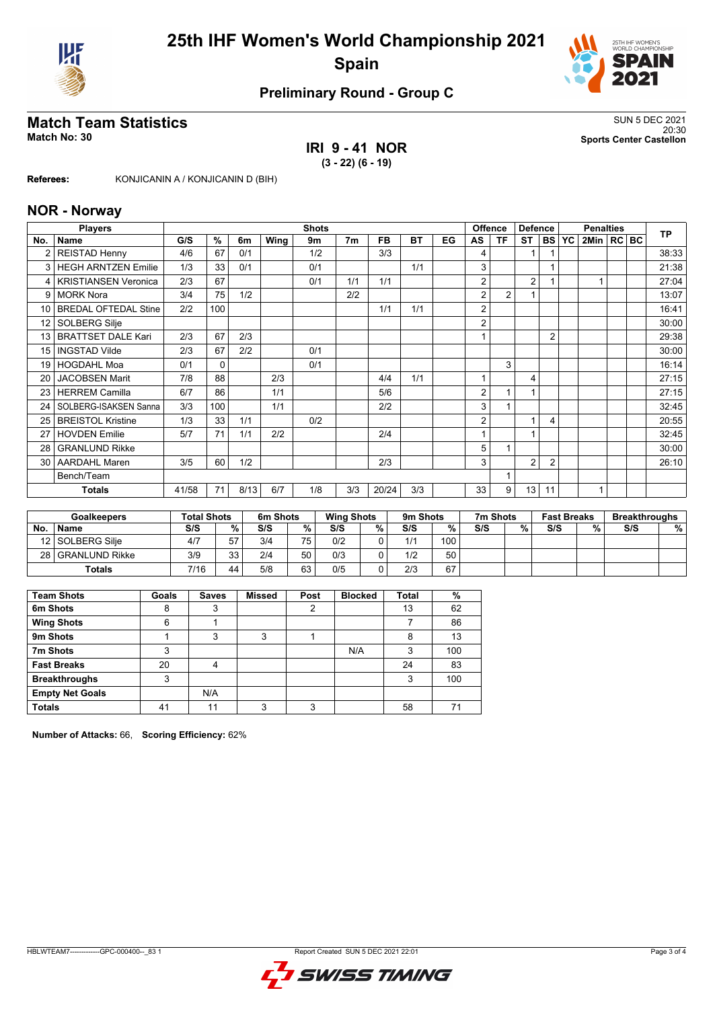



## **Preliminary Round - Group C**

#### **Match Team Statistics** SUN 5 DEC 2021 20:30 **Match No: 30 Sports Center Castellon**

**IRI 9 - 41 NOR**

**(3 - 22) (6 - 19)**

**Referees:** KONJICANIN A / KONJICANIN D (BIH)

#### **NOR - Norway**

|                 | <b>Players</b>              |       |          |      |      | <b>Shots</b> |                |       |     |    |    | <b>Offence</b> | <b>Defence</b>          |                | <b>Penalties</b> |                |  |  | <b>TP</b> |
|-----------------|-----------------------------|-------|----------|------|------|--------------|----------------|-------|-----|----|----|----------------|-------------------------|----------------|------------------|----------------|--|--|-----------|
| No.             | Name                        | G/S   | %        | 6m   | Wing | 9m           | 7 <sub>m</sub> | FB    | ВT  | EG | AS | ΤF             | <b>ST</b>               | <b>BS</b>      | YC               | 2Min   RC   BC |  |  |           |
|                 | <b>REISTAD Henny</b>        | 4/6   | 67       | 0/1  |      | 1/2          |                | 3/3   |     |    | 4  |                | 1                       |                |                  |                |  |  | 38:33     |
| 3               | <b>HEGH ARNTZEN Emilie</b>  | 1/3   | 33       | 0/1  |      | 0/1          |                |       | 1/1 |    | 3  |                |                         |                |                  |                |  |  | 21:38     |
| 4               | <b>KRISTIANSEN Veronica</b> | 2/3   | 67       |      |      | 0/1          | 1/1            | 1/1   |     |    | 2  |                | $\overline{2}$          |                |                  |                |  |  | 27:04     |
| 9               | <b>MORK Nora</b>            | 3/4   | 75       | 1/2  |      |              | 2/2            |       |     |    | 2  | 2              |                         |                |                  |                |  |  | 13:07     |
| 10 <sup>1</sup> | <b>BREDAL OFTEDAL Stine</b> | 2/2   | 100      |      |      |              |                | 1/1   | 1/1 |    | 2  |                |                         |                |                  |                |  |  | 16:41     |
| 12 <sup>°</sup> | SOLBERG Silje               |       |          |      |      |              |                |       |     |    | 2  |                |                         |                |                  |                |  |  | 30:00     |
| 13              | <b>BRATTSET DALE Kari</b>   | 2/3   | 67       | 2/3  |      |              |                |       |     |    |    |                |                         | $\overline{2}$ |                  |                |  |  | 29:38     |
| 15              | <b>INGSTAD Vilde</b>        | 2/3   | 67       | 2/2  |      | 0/1          |                |       |     |    |    |                |                         |                |                  |                |  |  | 30:00     |
| 19              | <b>HOGDAHL Moa</b>          | 0/1   | $\Omega$ |      |      | 0/1          |                |       |     |    |    | 3              |                         |                |                  |                |  |  | 16:14     |
| 20              | <b>JACOBSEN Marit</b>       | 7/8   | 88       |      | 2/3  |              |                | 4/4   | 1/1 |    |    |                | $\overline{\mathbf{4}}$ |                |                  |                |  |  | 27:15     |
| 23              | <b>HERREM Camilla</b>       | 6/7   | 86       |      | 1/1  |              |                | 5/6   |     |    | 2  |                |                         |                |                  |                |  |  | 27:15     |
| 24              | SOLBERG-ISAKSEN Sanna       | 3/3   | 100      |      | 1/1  |              |                | 2/2   |     |    | 3  |                |                         |                |                  |                |  |  | 32:45     |
| 25              | <b>BREISTOL Kristine</b>    | 1/3   | 33       | 1/1  |      | 0/2          |                |       |     |    | 2  |                |                         | $\overline{4}$ |                  |                |  |  | 20:55     |
| 27              | <b>HOVDEN Emilie</b>        | 5/7   | 71       | 1/1  | 2/2  |              |                | 2/4   |     |    |    |                | и                       |                |                  |                |  |  | 32:45     |
| 28              | <b>GRANLUND Rikke</b>       |       |          |      |      |              |                |       |     |    | 5  |                |                         |                |                  |                |  |  | 30:00     |
| 30              | <b>AARDAHL Maren</b>        | 3/5   | 60       | 1/2  |      |              |                | 2/3   |     |    | 3  |                | $\overline{2}$          | $\overline{2}$ |                  |                |  |  | 26:10     |
|                 | Bench/Team                  |       |          |      |      |              |                |       |     |    |    |                |                         |                |                  |                |  |  |           |
|                 | <b>Totals</b>               | 41/58 | 71       | 8/13 | 6/7  | 1/8          | 3/3            | 20/24 | 3/3 |    | 33 | 9              | 13                      | 11             |                  |                |  |  |           |

|    | <b>Goalkeepers</b> | <b>Total Shots</b> |    | 6m Shots |    | <b>Wing Shots</b> |   | 9m Shots |     | 7m Shots |   | <b>Fast Breaks</b> |    | <b>Breakthroughs</b> |   |
|----|--------------------|--------------------|----|----------|----|-------------------|---|----------|-----|----------|---|--------------------|----|----------------------|---|
| No | <b>Name</b>        | S/S                | %  | S/S      | %  | S/S               | % | S/S      | %   | S/S      | % | S/S                | 0/ | S/S                  | % |
|    | 12 SOLBERG Silie   | 4/7                | 57 | 3/4      | 75 | 0/2               |   | 1/1      | 100 |          |   |                    |    |                      |   |
|    | 28 GRANLUND Rikke  | 3/9                | วว | 2/4      | 50 | 0/3               |   | 1/2      | 50  |          |   |                    |    |                      |   |
|    | <b>Totals</b>      | 7/16               | 44 | 5/8      | 63 | 0/5               |   | 2/3      | 67  |          |   |                    |    |                      |   |

| <b>Team Shots</b>      | Goals | <b>Saves</b>   | <b>Missed</b> | Post | <b>Blocked</b> | <b>Total</b> | %   |
|------------------------|-------|----------------|---------------|------|----------------|--------------|-----|
| 6m Shots               | 8     | 3              |               | 2    |                | 13           | 62  |
| <b>Wing Shots</b>      | 6     |                |               |      |                |              | 86  |
| 9m Shots               |       | 3              | 3             |      |                | 8            | 13  |
| 7m Shots               | 3     |                |               |      | N/A            | 3            | 100 |
| <b>Fast Breaks</b>     | 20    | $\overline{4}$ |               |      |                | 24           | 83  |
| <b>Breakthroughs</b>   | 3     |                |               |      |                | 3            | 100 |
| <b>Empty Net Goals</b> |       | N/A            |               |      |                |              |     |
| <b>Totals</b>          | 41    | 11             | 3             | 3    |                | 58           | 71  |

**Number of Attacks:** 66, **Scoring Efficiency:** 62%